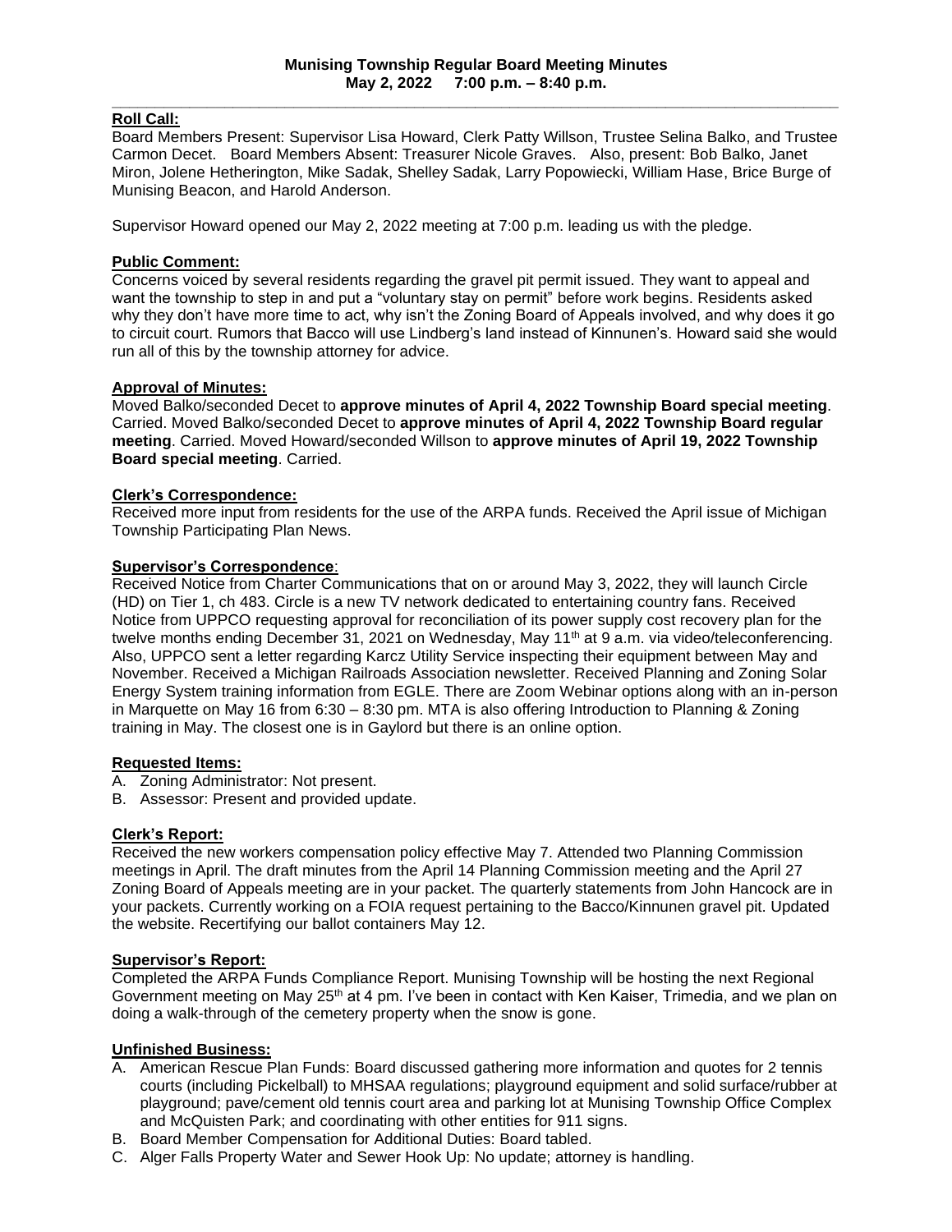#### **\_\_\_\_\_\_\_\_\_\_\_\_\_\_\_\_\_\_\_\_\_\_\_\_\_\_\_\_\_\_\_\_\_\_\_\_\_\_\_\_\_\_\_\_\_\_\_\_\_\_\_\_\_\_\_\_\_\_\_\_\_\_\_\_\_\_\_\_\_\_\_\_\_\_\_\_\_\_\_\_\_\_\_\_ Roll Call:**

Board Members Present: Supervisor Lisa Howard, Clerk Patty Willson, Trustee Selina Balko, and Trustee Carmon Decet. Board Members Absent: Treasurer Nicole Graves. Also, present: Bob Balko, Janet Miron, Jolene Hetherington, Mike Sadak, Shelley Sadak, Larry Popowiecki, William Hase, Brice Burge of Munising Beacon, and Harold Anderson.

Supervisor Howard opened our May 2, 2022 meeting at 7:00 p.m. leading us with the pledge.

# **Public Comment:**

Concerns voiced by several residents regarding the gravel pit permit issued. They want to appeal and want the township to step in and put a "voluntary stay on permit" before work begins. Residents asked why they don't have more time to act, why isn't the Zoning Board of Appeals involved, and why does it go to circuit court. Rumors that Bacco will use Lindberg's land instead of Kinnunen's. Howard said she would run all of this by the township attorney for advice.

# **Approval of Minutes:**

Moved Balko/seconded Decet to **approve minutes of April 4, 2022 Township Board special meeting**. Carried. Moved Balko/seconded Decet to **approve minutes of April 4, 2022 Township Board regular meeting**. Carried. Moved Howard/seconded Willson to **approve minutes of April 19, 2022 Township Board special meeting**. Carried.

# **Clerk's Correspondence:**

Received more input from residents for the use of the ARPA funds. Received the April issue of Michigan Township Participating Plan News.

# **Supervisor's Correspondence**:

Received Notice from Charter Communications that on or around May 3, 2022, they will launch Circle (HD) on Tier 1, ch 483. Circle is a new TV network dedicated to entertaining country fans. Received Notice from UPPCO requesting approval for reconciliation of its power supply cost recovery plan for the twelve months ending December 31, 2021 on Wednesday, May 11<sup>th</sup> at 9 a.m. via video/teleconferencing. Also, UPPCO sent a letter regarding Karcz Utility Service inspecting their equipment between May and November. Received a Michigan Railroads Association newsletter. Received Planning and Zoning Solar Energy System training information from EGLE. There are Zoom Webinar options along with an in-person in Marquette on May 16 from 6:30 – 8:30 pm. MTA is also offering Introduction to Planning & Zoning training in May. The closest one is in Gaylord but there is an online option.

#### **Requested Items:**

- A. Zoning Administrator: Not present.
- B. Assessor: Present and provided update.

# **Clerk's Report:**

Received the new workers compensation policy effective May 7. Attended two Planning Commission meetings in April. The draft minutes from the April 14 Planning Commission meeting and the April 27 Zoning Board of Appeals meeting are in your packet. The quarterly statements from John Hancock are in your packets. Currently working on a FOIA request pertaining to the Bacco/Kinnunen gravel pit. Updated the website. Recertifying our ballot containers May 12.

# **Supervisor's Report:**

Completed the ARPA Funds Compliance Report. Munising Township will be hosting the next Regional Government meeting on May 25<sup>th</sup> at 4 pm. I've been in contact with Ken Kaiser, Trimedia, and we plan on doing a walk-through of the cemetery property when the snow is gone.

# **Unfinished Business:**

- A. American Rescue Plan Funds: Board discussed gathering more information and quotes for 2 tennis courts (including Pickelball) to MHSAA regulations; playground equipment and solid surface/rubber at playground; pave/cement old tennis court area and parking lot at Munising Township Office Complex and McQuisten Park; and coordinating with other entities for 911 signs.
- B. Board Member Compensation for Additional Duties: Board tabled.
- C. Alger Falls Property Water and Sewer Hook Up: No update; attorney is handling.